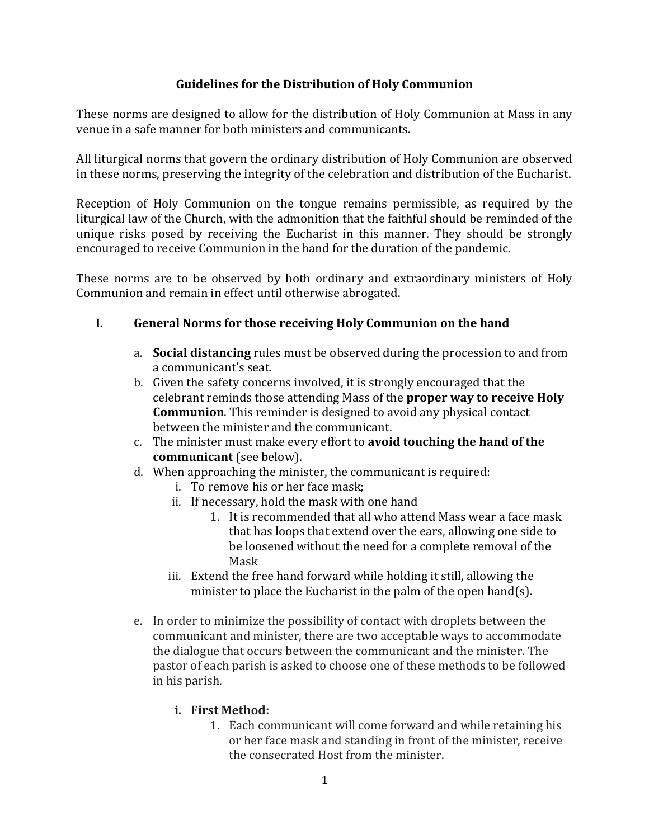### **Guidelines for the Distribution of Holy Communion**

These norms are designed to allow for the distribution of Holy Communion at Mass in any venue in a safe manner for both ministers and communicants.

All liturgical norms that govern the ordinary distribution of Holy Communion are observed in these norms, preserving the integrity of the celebration and distribution of the Eucharist.

Reception of Holy Communion on the tongue remains permissible, as required by the liturgical law of the Church, with the admonition that the faithful should be reminded of the unique risks posed by receiving the Eucharist in this manner. They should be strongly encouraged to receive Communion in the hand for the duration of the pandemic.

These norms are to be observed by both ordinary and extraordinary ministers of Holy Communion and remain in effect until otherwise abrogated.

### **I.** General Norms for those receiving Holy Communion on the hand

- a. **Social distancing** rules must be observed during the procession to and from a communicant's seat.
- b. Given the safety concerns involved, it is strongly encouraged that the celebrant reminds those attending Mass of the **proper way to receive Holy Communion**. This reminder is designed to avoid any physical contact between the minister and the communicant.
- c. The minister must make every effort to **avoid touching the hand of the communicant** (see below).
- d. When approaching the minister, the communicant is required:
	- i. To remove his or her face mask:
	- ii. If necessary, hold the mask with one hand
		- 1. It is recommended that all who attend Mass wear a face mask that has loops that extend over the ears, allowing one side to be loosened without the need for a complete removal of the Mask
	- iii. Extend the free hand forward while holding it still, allowing the minister to place the Eucharist in the palm of the open hand(s).
- e. In order to minimize the possibility of contact with droplets between the communicant and minister, there are two acceptable ways to accommodate the dialogue that occurs between the communicant and the minister. The pastor of each parish is asked to choose one of these methods to be followed in his parish.

#### **i. First Method:**

1. Each communicant will come forward and while retaining his or her face mask and standing in front of the minister, receive the consecrated Host from the minister.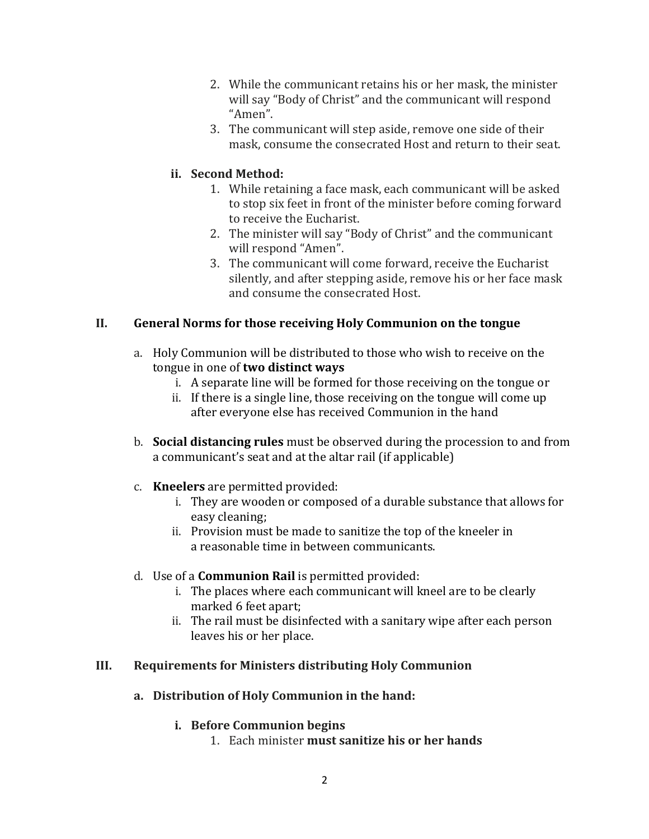- 2. While the communicant retains his or her mask, the minister will say "Body of Christ" and the communicant will respond "Amen".
- 3. The communicant will step aside, remove one side of their mask, consume the consecrated Host and return to their seat.

## **ii. Second Method:**

- 1. While retaining a face mask, each communicant will be asked to stop six feet in front of the minister before coming forward to receive the Eucharist.
- 2. The minister will say "Body of Christ" and the communicant will respond "Amen".
- 3. The communicant will come forward, receive the Eucharist silently, and after stepping aside, remove his or her face mask and consume the consecrated Host.

## II. **General Norms for those receiving Holy Communion on the tongue**

- a. Holy Communion will be distributed to those who wish to receive on the tongue in one of **two distinct ways** 
	- i. A separate line will be formed for those receiving on the tongue or
	- ii. If there is a single line, those receiving on the tongue will come up after everyone else has received Communion in the hand
- b. **Social distancing rules** must be observed during the procession to and from a communicant's seat and at the altar rail (if applicable)
- c. **Kneelers** are permitted provided:
	- i. They are wooden or composed of a durable substance that allows for easy cleaning;
	- ii. Provision must be made to sanitize the top of the kneeler in a reasonable time in between communicants.
- d. Use of a **Communion Rail** is permitted provided:
	- i. The places where each communicant will kneel are to be clearly marked 6 feet apart;
	- ii. The rail must be disinfected with a sanitary wipe after each person leaves his or her place.

# **III. Requirements for Ministers distributing Holy Communion**

a. Distribution of Holy Communion in the hand:

### **i. Before Communion begins**

1. Each minister **must sanitize his or her hands**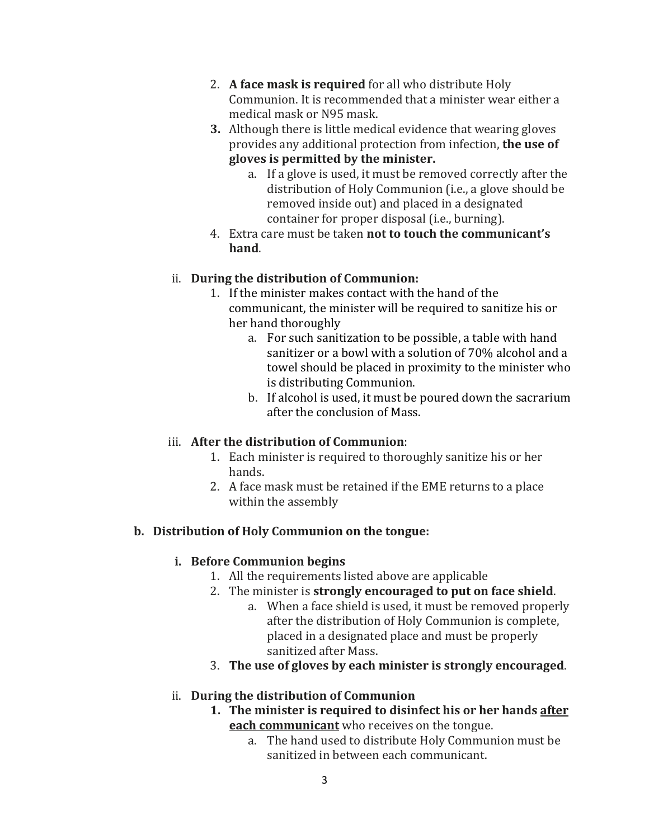- 2. A face mask is required for all who distribute Holy Communion. It is recommended that a minister wear either a medical mask or N95 mask.
- **3.** Although there is little medical evidence that wearing gloves provides any additional protection from infection, the use of gloves is permitted by the minister.
	- a. If a glove is used, it must be removed correctly after the distribution of Holy Communion (i.e., a glove should be removed inside out) and placed in a designated container for proper disposal (i.e., burning).
- 4. Extra care must be taken **not to touch the communicant's hand**.

## ii. During the distribution of Communion:

- 1. If the minister makes contact with the hand of the communicant, the minister will be required to sanitize his or her hand thoroughly
	- a. For such sanitization to be possible, a table with hand sanitizer or a bowl with a solution of 70% alcohol and a towel should be placed in proximity to the minister who is distributing Communion.
	- b. If alcohol is used, it must be poured down the sacrarium after the conclusion of Mass.

# iii. After the distribution of Communion:

- 1. Each minister is required to thoroughly sanitize his or her hands.
- 2. A face mask must be retained if the EME returns to a place within the assembly

# **b.** Distribution of Holy Communion on the tongue:

# **i. Before Communion begins**

- 1. All the requirements listed above are applicable
- 2. The minister is **strongly encouraged to put on face shield**.
	- a. When a face shield is used, it must be removed properly after the distribution of Holy Communion is complete, placed in a designated place and must be properly sanitized after Mass.
- 3. **The use of gloves by each minister is strongly encouraged.**

# ii. **During the distribution of Communion**

- **1.** The minister is required to disinfect his or her hands after **each communicant** who receives on the tongue.
	- a. The hand used to distribute Holy Communion must be sanitized in between each communicant.